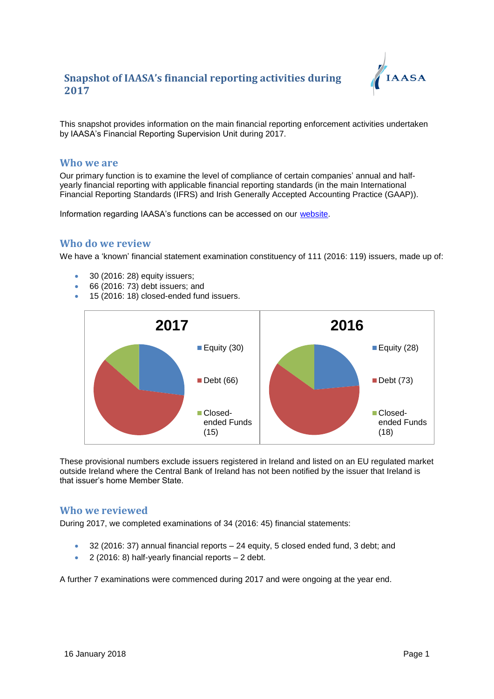

This snapshot provides information on the main financial reporting enforcement activities undertaken by IAASA's Financial Reporting Supervision Unit during 2017.

#### **Who we are**

Our primary function is to examine the level of compliance of certain companies' annual and halfyearly financial reporting with applicable financial reporting standards (in the main International Financial Reporting Standards (IFRS) and Irish Generally Accepted Accounting Practice (GAAP)).

Information regarding IAASA's functions can be accessed on our [website.](http://www.iaasa.ie/)

### **Who do we review**

We have a 'known' financial statement examination constituency of 111 (2016: 119) issuers, made up of:

- 30 (2016: 28) equity issuers;
- 66 (2016: 73) debt issuers; and
- 15 (2016: 18) closed-ended fund issuers.



These provisional numbers exclude issuers registered in Ireland and listed on an EU regulated market outside Ireland where the Central Bank of Ireland has not been notified by the issuer that Ireland is that issuer's home Member State.

#### **Who we reviewed**

During 2017, we completed examinations of 34 (2016: 45) financial statements:

- 32 (2016: 37) annual financial reports 24 equity, 5 closed ended fund, 3 debt; and
- 2 (2016: 8) half-yearly financial reports 2 debt.

A further 7 examinations were commenced during 2017 and were ongoing at the year end.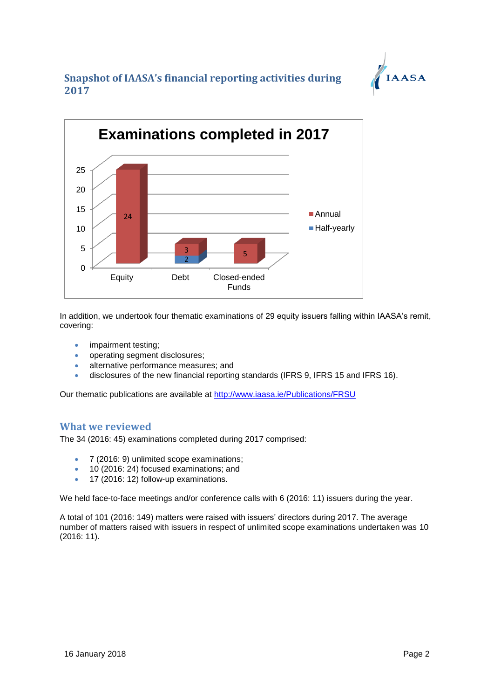



In addition, we undertook four thematic examinations of 29 equity issuers falling within IAASA's remit, covering:

- impairment testing;
- operating segment disclosures;
- alternative performance measures; and
- disclosures of the new financial reporting standards (IFRS 9, IFRS 15 and IFRS 16).

Our thematic publications are available at<http://www.iaasa.ie/Publications/FRSU>

### **What we reviewed**

The 34 (2016: 45) examinations completed during 2017 comprised:

- 7 (2016: 9) unlimited scope examinations;
- <sup>10</sup> (2016: 24) focused examinations; and
- $\bullet$  17 (2016: 12) follow-up examinations.

We held face-to-face meetings and/or conference calls with 6 (2016: 11) issuers during the year.

A total of 101 (2016: 149) matters were raised with issuers' directors during 2017. The average number of matters raised with issuers in respect of unlimited scope examinations undertaken was 10 (2016: 11).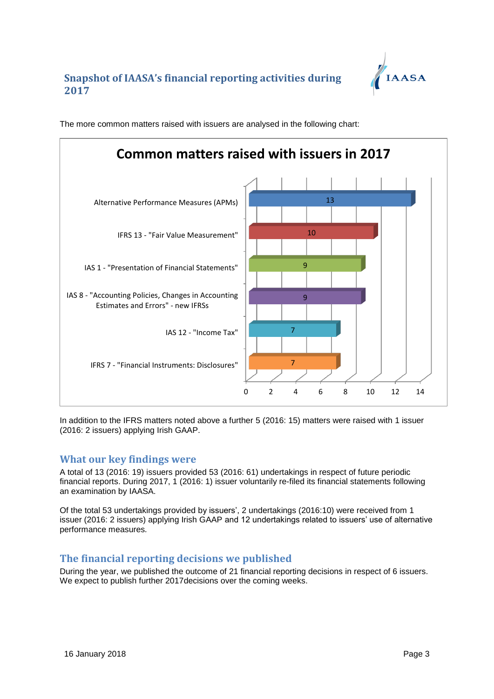



The more common matters raised with issuers are analysed in the following chart:

In addition to the IFRS matters noted above a further 5 (2016: 15) matters were raised with 1 issuer (2016: 2 issuers) applying Irish GAAP.

## **What our key findings were**

A total of 13 (2016: 19) issuers provided 53 (2016: 61) undertakings in respect of future periodic financial reports. During 2017, 1 (2016: 1) issuer voluntarily re-filed its financial statements following an examination by IAASA.

Of the total 53 undertakings provided by issuers', 2 undertakings (2016:10) were received from 1 issuer (2016: 2 issuers) applying Irish GAAP and 12 undertakings related to issuers' use of alternative performance measures*.* 

## **The financial reporting decisions we published**

During the year, we published the outcome of 21 financial reporting decisions in respect of 6 issuers. We expect to publish further 2017decisions over the coming weeks.